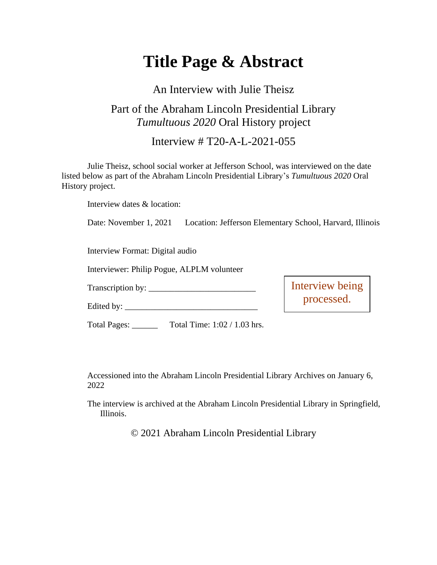# **Title Page & Abstract**

## An Interview with Julie Theisz

## Part of the Abraham Lincoln Presidential Library *Tumultuous 2020* Oral History project

### Interview # T20-A-L-2021-055

Julie Theisz, school social worker at Jefferson School, was interviewed on the date listed below as part of the Abraham Lincoln Presidential Library's *Tumultuous 2020* Oral History project.

Interview dates & location:

Date: November 1, 2021 Location: Jefferson Elementary School, Harvard, Illinois

Interview Format: Digital audio

Interviewer: Philip Pogue, ALPLM volunteer

Transcription by:

Edited by:  $\frac{1}{\sqrt{2\pi}}$ 

Interview being processed.

Total Pages: \_\_\_\_\_\_ Total Time: 1:02 / 1.03 hrs.

Accessioned into the Abraham Lincoln Presidential Library Archives on January 6, 2022

The interview is archived at the Abraham Lincoln Presidential Library in Springfield, Illinois.

© 2021 Abraham Lincoln Presidential Library